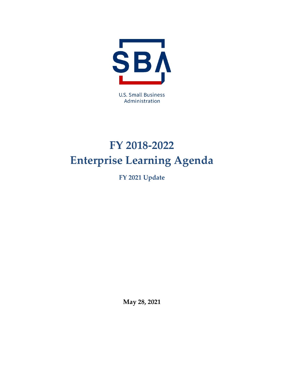

**U.S. Small Business** Administration

# <span id="page-0-1"></span><span id="page-0-0"></span>**FY 2018-2022 Enterprise Learning Agenda**

**FY 2021 Update**

**May 28, 2021**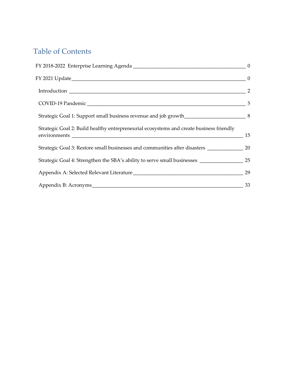# Table of Contents

| Strategic Goal 1: Support small business revenue and job growth______________________________8          |  |
|---------------------------------------------------------------------------------------------------------|--|
| Strategic Goal 2: Build healthy entrepreneurial ecosystems and create business friendly                 |  |
| Strategic Goal 3: Restore small businesses and communities after disasters ________________________ 20  |  |
| Strategic Goal 4: Strengthen the SBA's ability to serve small businesses ___________________________ 25 |  |
|                                                                                                         |  |
|                                                                                                         |  |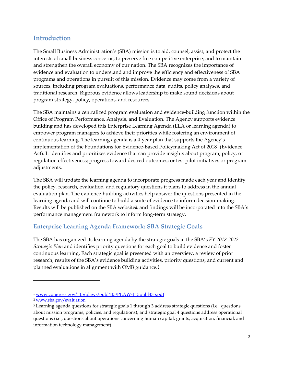## <span id="page-2-0"></span>**Introduction**

The Small Business Administration's (SBA) mission is to aid, counsel, assist, and protect the interests of small business concerns; to preserve free competitive enterprise; and to maintain and strengthen the overall economy of our nation. The SBA recognizes the importance of evidence and evaluation to understand and improve the efficiency and effectiveness of SBA programs and operations in pursuit of this mission. Evidence may come from a variety of sources, including program evaluations, performance data, audits, policy analyses, and traditional research. Rigorous evidence allows leadership to make sound decisions about program strategy, policy, operations, and resources.

The SBA maintains a centralized program evaluation and evidence-building function within the Office of Program Performance, Analysis, and Evaluation. The Agency supports evidence building and has developed this Enterprise Learning Agenda (ELA or learning agenda) to empower program managers to achieve their priorities while fostering an environment of continuous learning. The learning agenda is a 4-year plan that supports the Agency's implementation of the Foundations for Evidence-Based Policymaking Act of 2018[1](#page-2-1) (Evidence Act). It identifies and prioritizes evidence that can provide insights about program, policy, or regulation effectiveness; progress toward desired outcomes; or test pilot initiatives or program adjustments.

The SBA will update the learning agenda to incorporate progress made each year and identify the policy, research, evaluation, and regulatory questions it plans to address in the annual evaluation plan. The evidence-building activities help answer the questions presented in the learning agenda and will continue to build a suite of evidence to inform decision-making. Results will be published on the SBA website<sup>[2](#page-2-2)</sup>, and findings will be incorporated into the SBA's performance management framework to inform long-term strategy.

#### **Enterprise Learning Agenda Framework: SBA Strategic Goals**

The SBA has organized its learning agenda by the strategic goals in the SBA's *FY 2018-2022 Strategic Plan* and identifies priority questions for each goal to build evidence and foster continuous learning. Each strategic goal is presented with an overview, a review of prior research, results of the SBA's evidence building activities, priority questions, and current and planned evaluations in alignment with OMB guidance.[3](#page-2-3)

<span id="page-2-1"></span><sup>1</sup> [www.congress.gov/115/plaws/publ435/PLAW-115publ435.pdf](https://www.congress.gov/115/plaws/publ435/PLAW-115publ435.pdf)

<span id="page-2-2"></span><sup>2</sup> [www.sba.gov/evaluation](http://www.sba.gov/evaluation)

<span id="page-2-3"></span><sup>3</sup> Learning agenda questions for strategic goals 1 through 3 address strategic questions (i.e., questions about mission programs, policies, and regulations), and strategic goal 4 questions address operational questions (i.e., questions about operations concerning human capital, grants, acquisition, financial, and information technology management).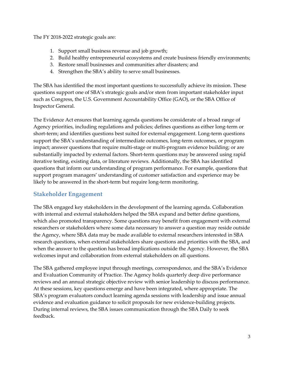The FY 2018-2022 strategic goals are:

- 1. Support small business revenue and job growth;
- 2. Build healthy entrepreneurial ecosystems and create business friendly environments;
- 3. Restore small businesses and communities after disasters; and
- 4. Strengthen the SBA's ability to serve small businesses.

The SBA has identified the most important questions to successfully achieve its mission. These questions support one of SBA's strategic goals and/or stem from important stakeholder input such as Congress, the U.S. Government Accountability Office (GAO), or the SBA Office of Inspector General.

The Evidence Act ensures that learning agenda questions be considerate of a broad range of Agency priorities, including regulations and policies; defines questions as either long-term or short-term; and identifies questions best suited for external engagement. Long-term questions support the SBA's understanding of intermediate outcomes, long-term outcomes, or program impact; answer questions that require multi-stage or multi-program evidence building; or are substantially impacted by external factors. Short-term questions may be answered using rapid iterative testing, existing data, or literature reviews. Additionally, the SBA has identified questions that inform our understanding of program performance. For example, questions that support program managers' understanding of customer satisfaction and experience may be likely to be answered in the short-term but require long-term monitoring.

#### **Stakeholder Engagement**

The SBA engaged key stakeholders in the development of the learning agenda. Collaboration with internal and external stakeholders helped the SBA expand and better define questions, which also promoted transparency. Some questions may benefit from engagement with external researchers or stakeholders where some data necessary to answer a question may reside outside the Agency, where SBA data may be made available to external researchers interested in SBA research questions, when external stakeholders share questions and priorities with the SBA, and when the answer to the question has broad implications outside the Agency. However, the SBA welcomes input and collaboration from external stakeholders on all questions.

The SBA gathered employee input through meetings, correspondence, and the SBA's Evidence and Evaluation Community of Practice. The Agency holds quarterly deep dive performance reviews and an annual strategic objective review with senior leadership to discuss performance. At these sessions, key questions emerge and have been integrated, where appropriate. The SBA's program evaluators conduct learning agenda sessions with leadership and issue annual evidence and evaluation guidance to solicit proposals for new evidence-building projects. During internal reviews, the SBA issues communication through the SBA Daily to seek feedback.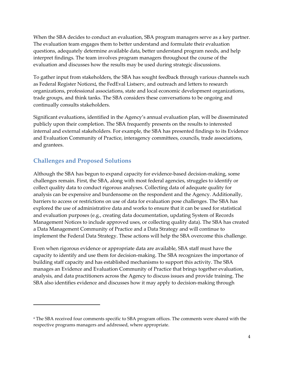When the SBA decides to conduct an evaluation, SBA program managers serve as a key partner. The evaluation team engages them to better understand and formulate their evaluation questions, adequately determine available data, better understand program needs, and help interpret findings. The team involves program managers throughout the course of the evaluation and discusses how the results may be used during strategic discussions.

To gather input from stakeholders, the SBA has sought feedback through various channels such as Federal Register Notices<sup>[4](#page-4-0)</sup>, the FedEval Listserv, and outreach and letters to research organizations, professional associations, state and local economic development organizations, trade groups, and think tanks. The SBA considers these conversations to be ongoing and continually consults stakeholders.

Significant evaluations, identified in the Agency's annual evaluation plan, will be disseminated publicly upon their completion. The SBA frequently presents on the results to interested internal and external stakeholders. For example, the SBA has presented findings to its Evidence and Evaluation Community of Practice, interagency committees, councils, trade associations, and grantees.

#### **Challenges and Proposed Solutions**

Although the SBA has begun to expand capacity for evidence-based decision-making, some challenges remain. First, the SBA, along with most federal agencies, struggles to identify or collect quality data to conduct rigorous analyses. Collecting data of adequate quality for analysis can be expensive and burdensome on the respondent and the Agency. Additionally, barriers to access or restrictions on use of data for evaluation pose challenges. The SBA has explored the use of administrative data and works to ensure that it can be used for statistical and evaluation purposes (e.g., creating data documentation, updating System of Records Management Notices to include approved uses, or collecting quality data). The SBA has created a Data Management Community of Practice and a Data Strategy and will continue to implement the Federal Data Strategy. These actions will help the SBA overcome this challenge.

Even when rigorous evidence or appropriate data are available, SBA staff must have the capacity to identify and use them for decision-making. The SBA recognizes the importance of building staff capacity and has established mechanisms to support this activity. The SBA manages an Evidence and Evaluation Community of Practice that brings together evaluation, analysis, and data practitioners across the Agency to discuss issues and provide training. The SBA also identifies evidence and discusses how it may apply to decision-making through

<span id="page-4-0"></span><sup>4</sup> The SBA received four comments specific to SBA program offices. The comments were shared with the respective programs managers and addressed, where appropriate.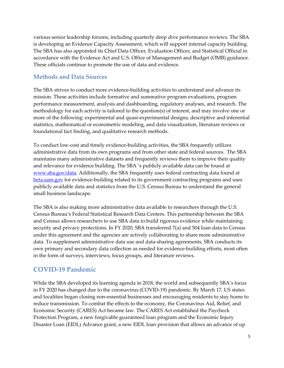various senior leadership forums, including quarterly deep dive performance reviews. The SBA is developing an Evidence Capacity Assessment, which will support internal capacity building. The SBA has also appointed its Chief Data Officer, Evaluation Officer, and Statistical Official in accordance with the Evidence Act and U.S. Office of Management and Budget (OMB) guidance. These officials continue to promote the use of data and evidence.

#### **Methods and Data Sources**

The SBA strives to conduct more evidence-building activities to understand and advance its mission. These activities include formative and summative program evaluations, program performance measurement, analysis and dashboarding, regulatory analyses, and research. The methodology for each activity is tailored to the question(s) of interest, and may involve one or more of the following: experimental and quasi-experimental designs, descriptive and inferential statistics, mathematical or econometric modeling, and data visualization, literature reviews or foundational fact finding, and qualitative research methods.

To conduct low-cost and timely evidence-building activities, the SBA frequently utilizes administrative data from its own programs and from other state and federal sources. The SBA maintains many administrative datasets and frequently reviews them to improve their quality and relevance for evidence building. The SBA 's publicly available data can be found at [www.sba.gov/data.](http://www.sba.gov/data) Additionally, the SBA frequently uses federal contracting data found at [beta.sam.gov](https://beta.sam.gov/) for evidence-building related to its government contracting programs and uses publicly available data and statistics from the U.S. Census Bureau to understand the general small business landscape.

The SBA is also making more administrative data available to researchers through the U.S. Census Bureau's Federal Statistical Research Data Centers. This partnership between the SBA and Census allows researchers to use SBA data to build rigorous evidence while maintaining security and privacy protections. In FY 2020, SBA transferred 7(a) and 504 loan data to Census under this agreement and the agencies are actively collaborating to share more administrative data. To supplement administrative data use and data-sharing agreements, SBA conducts its own primary and secondary data collection as needed for evidence-building efforts, most often in the form of surveys, interviews, focus groups, and literature reviews.

## <span id="page-5-0"></span>**COVID-19 Pandemic**

While the SBA developed its learning agenda in 2018, the world and subsequently SBA's focus in FY 2020 has changed due to the coronavirus (COVID-19) pandemic. By March 17, US states and localities began closing non-essential businesses and encouraging residents to stay home to reduce transmission. To combat the effects to the economy, the Coronavirus Aid, Relief, and Economic Security (CARES) Act became law. The CARES Act established the Paycheck Protection Program, a new forgivable guaranteed loan program and the Economic Injury Disaster Loan (EIDL) Advance grant, a new EIDL loan provision that allows an advance of up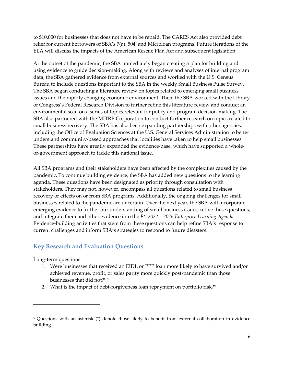to \$10,000 for businesses that does not have to be repaid. The CARES Act also provided debt relief for current borrowers of SBA's 7(a), 504, and Microloan programs. Future iterations of the ELA will discuss the impacts of the American Rescue Plan Act and subsequent legislation.

At the outset of the pandemic, the SBA immediately began creating a plan for building and using evidence to guide decision-making. Along with reviews and analyses of internal program data, the SBA gathered evidence from external sources and worked with the U.S. Census Bureau to include questions important to the SBA in the weekly Small Business Pulse Survey. The SBA began conducting a literature review on topics related to emerging small business issues and the rapidly changing economic environment. Then, the SBA worked with the Library of Congress's Federal Research Division to further refine this literature review and conduct an environmental scan on a series of topics relevant for policy and program decision-making. The SBA also partnered with the MITRE Corporation to conduct further research on topics related to small business recovery. The SBA has also been expanding partnerships with other agencies, including the Office of Evaluation Sciences at the U.S. General Services Administration to better understand community-based approaches that localities have taken to help small businesses. These partnerships have greatly expanded the evidence-base, which have supported a wholeof-government approach to tackle this national issue.

All SBA programs and their stakeholders have been affected by the complexities caused by the pandemic. To continue building evidence, the SBA has added new questions to the learning agenda. These questions have been designated as priority through consultation with stakeholders. They may not, however, encompass all questions related to small business recovery or effects on or from SBA programs. Additionally, the ongoing challenges for small businesses related to the pandemic are uncertain. Over the next year, the SBA will incorporate emerging evidence to further our understanding of small business issues, refine these questions, and integrate them and other evidence into the *FY 2022 – 2026 Enterprise Learning Agenda*. Evidence-building activities that stem from these questions can help refine SBA's response to current challenges and inform SBA's strategies to respond to future disasters.

## **Key Research and Evaluation Questions**

Long-term questions:

- 1. Were businesses that received an EIDL or PPP loan more likely to have survived and/or achieved revenue, profit, or sales parity more quickly post-pandemic than those businesses that did not?\* [5](#page-6-0)
- 2. What is the impact of debt-forgiveness loan repayment on portfolio risk?\*

<span id="page-6-0"></span><sup>5</sup> Questions with an asterisk (\*) denote those likely to benefit from external collaboration in evidence building.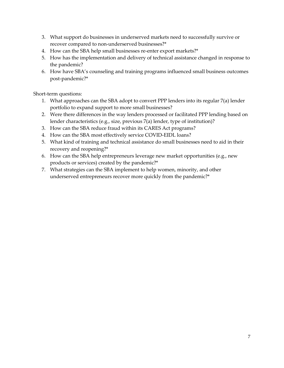- 3. What support do businesses in underserved markets need to successfully survive or recover compared to non-underserved businesses?\*
- 4. How can the SBA help small businesses re-enter export markets?\*
- 5. How has the implementation and delivery of technical assistance changed in response to the pandemic?
- 6. How have SBA's counseling and training programs influenced small business outcomes post-pandemic?\*

Short-term questions:

- 1. What approaches can the SBA adopt to convert PPP lenders into its regular 7(a) lender portfolio to expand support to more small businesses?
- 2. Were there differences in the way lenders processed or facilitated PPP lending based on lender characteristics (e.g., size, previous 7(a) lender, type of institution)?
- 3. How can the SBA reduce fraud within its CARES Act programs?
- 4. How can the SBA most effectively service COVID-EIDL loans?
- 5. What kind of training and technical assistance do small businesses need to aid in their recovery and reopening?\*
- 6. How can the SBA help entrepreneurs leverage new market opportunities (e.g., new products or services) created by the pandemic?\*
- 7. What strategies can the SBA implement to help women, minority, and other underserved entrepreneurs recover more quickly from the pandemic?\*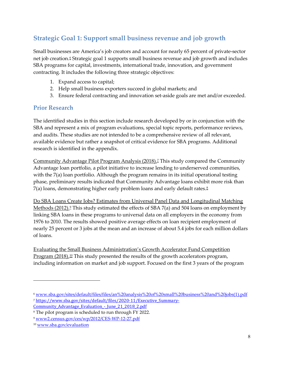# <span id="page-8-0"></span>**Strategic Goal 1: Support small business revenue and job growth**

Small businesses are America's job creators and account for nearly 65 percent of private-sector net job creation.[6](#page-8-1) Strategic goal 1 supports small business revenue and job growth and includes SBA programs for capital, investments, international trade, innovation, and government contracting. It includes the following three strategic objectives:

- 1. Expand access to capital;
- 2. Help small business exporters succeed in global markets; and
- 3. Ensure federal contracting and innovation set-aside goals are met and/or exceeded.

#### **Prior Research**

The identified studies in this section include research developed by or in conjunction with the SBA and represent a mix of program evaluations, special topic reports, performance reviews, and audits. These studies are not intended to be a comprehensive review of all relevant, available evidence but rather a snapshot of critical evidence for SBA programs. Additional research is identified in the appendix.

Community Advantage Pilot Program Analysis (2018).[7](#page-8-2) This study compared the Community Advantage loan portfolio, a pilot initiative to increase lending to underserved communities, with the 7(a) loan portfolio. Although the program remains in its initial operational testing phase, preliminary results indicated that Community Advantage loans exhibit more risk than 7(a) loans, demonstrating higher early problem loans and early default rates.[8](#page-8-3)

[Do SBA Loans Create Jobs? Estimates from Universal Panel Data and Longitudinal Matching](https://www2.census.gov/ces/wp/2012/CES-WP-12-27.pdf)  [Methods \(2012\).](https://www2.census.gov/ces/wp/2012/CES-WP-12-27.pdf)<sup>[9](#page-8-4)</sup> This study estimated the effects of SBA 7(a) and 504 loans on employment by linking SBA loans in these programs to universal data on all employers in the economy from 1976 to 2010. The results showed positive average effects on loan recipient employment of nearly 25 percent or 3 jobs at the mean and an increase of about 5.4 jobs for each million dollars of loans.

Evaluating the Small Business Administration's Growth Accelerator Fund Competition Program (2018).<sup>[10](#page-8-5)</sup> This study presented the results of the growth accelerators program, including information on market and job support. Focused on the first 3 years of the program

<span id="page-8-1"></span><sup>6</sup> [www.sba.gov/sites/default/files/files/an%20analysis%20of%20small%20business%20and%20jobs\(1\).pdf](http://www.sba.gov/sites/default/files/files/an%20analysis%20of%20small%20business%20and%20jobs(1).pdf) <sup>7</sup> [https://www.sba.gov/sites/default/files/2020-11/Executive\\_Summary-](https://www.sba.gov/sites/default/files/2020-11/Executive_Summary-Community_Advantage_Evaluation_-_June_21_2018_2.pdf)

<span id="page-8-2"></span>Community Advantage Evaluation - June 21 2018 2.pdf

<span id="page-8-3"></span><sup>8</sup> The pilot program is scheduled to run through FY 2022.

<span id="page-8-4"></span><sup>9</sup> [www2.census.gov/ces/wp/2012/CES-WP-12-27.pdf](https://www2.census.gov/ces/wp/2012/CES-WP-12-27.pdf)

<span id="page-8-5"></span><sup>10</sup> [www.sba.gov/evaluation](http://www.sba.gov/evaluation)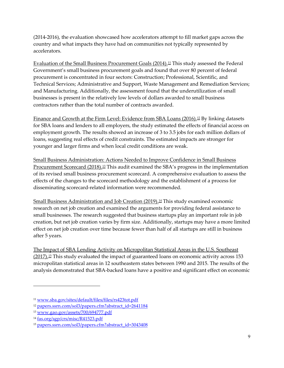(2014-2016), the evaluation showcased how accelerators attempt to fill market gaps across the country and what impacts they have had on communities not typically represented by accelerators.

Evaluation of the Small Business Procurement Goals (2014).<sup>11</sup> This study assessed the Federal Government's small business procurement goals and found that over 80 percent of federal procurement is concentrated in four sectors: Construction; Professional, Scientific, and Technical Services; Administrative and Support, Waste Management and Remediation Services; and Manufacturing. Additionally, the assessment found that the underutilization of small businesses is present in the relatively low levels of dollars awarded to small business contractors rather than the total number of contracts awarded.

[Finance and Growth at the Firm Level: Evidence from SBA Loans \(2016\).](https://poseidon01.ssrn.com/delivery.php?ID=756021072024123100124083089010018069015032009051054004022004113025031119094097066078007052003023030014055090125105102089068115056022088032093120081121087065070064083035083088093081101000072085088099022072084091126111121092066031086018079065105126&EXT=pdf)<sup>12</sup> By linking datasets for SBA loans and lenders to all employers, the study estimated the effects of financial access on employment growth. The results showed an increase of 3 to 3.5 jobs for each million dollars of loans, suggesting real effects of credit constraints. The estimated impacts are stronger for younger and larger firms and when local credit conditions are weak.

Small Business Administration: Actions Needed to Improve Confidence in Small Business Procurement Scorecard (2018).<sup>[13](#page-9-2)</sup> This audit examined the SBA's progress in the implementation of its revised small business procurement scorecard. A comprehensive evaluation to assess the effects of the changes to the scorecard methodology and the establishment of a process for disseminating scorecard-related information were recommended.

Small Business Administration and Job Creation (2019).<sup>14</sup> This study examined economic research on net job creation and examined the arguments for providing federal assistance to small businesses. The research suggested that business startups play an important role in job creation, but net job creation varies by firm size. Additionally, startups may have a more limited effect on net job creation over time because fewer than half of all startups are still in business after 5 years.

The Impact of SBA Lending Activity on Micropolitan Statistical Areas in the U.S. Southeast  $(2017)$ <sup>[15](#page-9-4)</sup> This study evaluated the impact of guaranteed loans on economic activity across 153 micropolitan statistical areas in 12 southeastern states between 1990 and 2015. The results of the analysis demonstrated that SBA-backed loans have a positive and significant effect on economic

<span id="page-9-0"></span><sup>11</sup> [www.sba.gov/sites/default/files/files/rs423tot.pdf](http://www.sba.gov/sites/default/files/files/rs423tot.pdf)

<span id="page-9-1"></span><sup>&</sup>lt;sup>12</sup> [papers.ssrn.com/sol3/papers.cfm?abstract\\_id=2641184](https://papers.ssrn.com/sol3/papers.cfm?abstract_id=2641184)

<span id="page-9-2"></span><sup>13</sup> [www.gao.gov/assets/700/694777.pdf](http://www.gao.gov/assets/700/694777.pdf)

<span id="page-9-3"></span><sup>14</sup> [fas.org/sgp/crs/misc/R41523.pdf](https://fas.org/sgp/crs/misc/R41523.pdf)

<span id="page-9-4"></span><sup>15</sup> [papers.ssrn.com/sol3/papers.cfm?abstract\\_id=3043408](https://papers.ssrn.com/sol3/papers.cfm?abstract_id=3043408)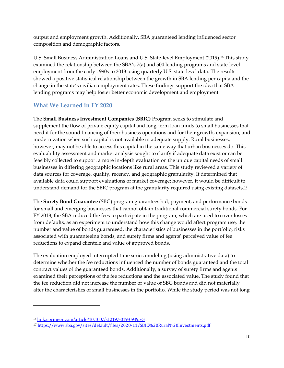output and employment growth. Additionally, SBA guaranteed lending influenced sector composition and demographic factors.

U.S. Small Business Administration Loans and U.S. State-level Employment (2019).<sup>[16](#page-10-0)</sup> This study examined the relationship between the SBA's 7(a) and 504 lending programs and state-level employment from the early 1990s to 2013 using quarterly U.S. state-level data. The results showed a positive statistical relationship between the growth in SBA lending per capita and the change in the state's civilian employment rates. These findings support the idea that SBA lending programs may help foster better economic development and employment.

## **What We Learned in FY 2020**

The **Small Business Investment Companies (SBIC)** Program seeks to stimulate and supplement the flow of private equity capital and long-term loan funds to small businesses that need it for the sound financing of their business operations and for their growth, expansion, and modernization when such capital is not available in adequate supply. Rural businesses, however, may not be able to access this capital in the same way that urban businesses do. This evaluability assessment and market analysis sought to clarify if adequate data exist or can be feasibly collected to support a more in-depth evaluation on the unique capital needs of small businesses in differing geographic locations like rural areas. This study reviewed a variety of data sources for coverage, quality, recency, and geographic granularity. It determined that available data could support evaluations of market coverage; however, it would be difficult to understand demand for the SBIC program at the granularity required using existing datasets.<sup>[17](#page-10-1)</sup>

The **Surety Bond Guarantee** (SBG) program guarantees bid, payment, and performance bonds for small and emerging businesses that cannot obtain traditional commercial surety bonds. For FY 2018, the SBA reduced the fees to participate in the program, which are used to cover losses from defaults, as an experiment to understand how this change would affect program use, the number and value of bonds guaranteed, the characteristics of businesses in the portfolio, risks associated with guaranteeing bonds, and surety firms and agents' perceived value of fee reductions to expand clientele and value of approved bonds.

The evaluation employed interrupted time series modeling (using administrative data) to determine whether the fee reductions influenced the number of bonds guaranteed and the total contract values of the guaranteed bonds. Additionally, a survey of surety firms and agents examined their perceptions of the fee reductions and the associated value. The study found that the fee reduction did not increase the number or value of SBG bonds and did not materially alter the characteristics of small businesses in the portfolio. While the study period was not long

<span id="page-10-0"></span><sup>16</sup> [link.springer.com/article/10.1007/s12197-019-09495-3](https://link.springer.com/article/10.1007/s12197-019-09495-3)

<span id="page-10-1"></span><sup>17</sup> <https://www.sba.gov/sites/default/files/2020-11/SBIC%20Rural%20Investments.pdf>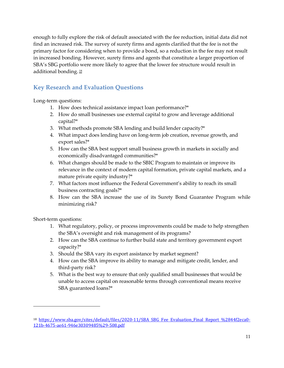enough to fully explore the risk of default associated with the fee reduction, initial data did not find an increased risk. The survey of surety firms and agents clarified that the fee is not the primary factor for considering when to provide a bond, so a reduction in the fee may not result in increased bonding. However, surety firms and agents that constitute a larger proportion of SBA's SBG portfolio were more likely to agree that the lower fee structure would result in additional bonding. [18](#page-11-0)

## **Key Research and Evaluation Questions**

Long-term questions:

- 1. How does technical assistance impact loan performance?\*
- 2. How do small businesses use external capital to grow and leverage additional capital?\*
- 3. What methods promote SBA lending and build lender capacity?\*
- 4. What impact does lending have on long-term job creation, revenue growth, and export sales?\*
- 5. How can the SBA best support small business growth in markets in socially and economically disadvantaged communities?\*
- 6. What changes should be made to the SBIC Program to maintain or improve its relevance in the context of modern capital formation, private capital markets, and a mature private equity industry?\*
- 7. What factors most influence the Federal Government's ability to reach its small business contracting goals?\*
- 8. How can the SBA increase the use of its Surety Bond Guarantee Program while minimizing risk?

Short-term questions:

- 1. What regulatory, policy, or process improvements could be made to help strengthen the SBA's oversight and risk management of its programs?
- 2. How can the SBA continue to further build state and territory government export capacity?\*
- 3. Should the SBA vary its export assistance by market segment?
- 4. How can the SBA improve its ability to manage and mitigate credit, lender, and third-party risk?
- 5. What is the best way to ensure that only qualified small businesses that would be unable to access capital on reasonable terms through conventional means receive SBA guaranteed loans?\*

<span id="page-11-0"></span><sup>&</sup>lt;sup>18</sup> https://www.sba.gov/sites/default/files/2020-11/SBA SBG Fee Evaluation Final Report %2844f2eca0-[121b-4675-ae61-946e30309485%29-508.pdf](https://www.sba.gov/sites/default/files/2020-11/SBA%20SBG%20Fee%20Evaluation_Final%20Report%20%2844f2eca0-121b-4675-ae61-946e30309485%29-508.pdf)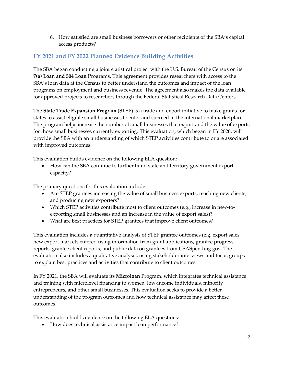6. How satisfied are small business borrowers or other recipients of the SBA's capital access products?

#### **FY 2021 and FY 2022 Planned Evidence Building Activities**

The SBA began conducting a joint statistical project with the U.S. Bureau of the Census on its **7(a) Loan and 504 Loan** Programs. This agreement provides researchers with access to the SBA's loan data at the Census to better understand the outcomes and impact of the loan programs on employment and business revenue. The agreement also makes the data available for approved projects to researchers through the Federal Statistical Research Data Centers.

The **State Trade Expansion Program** (STEP) is a trade and export initiative to make grants for states to assist eligible small businesses to enter and succeed in the international marketplace. The program helps increase the number of small businesses that export and the value of exports for those small businesses currently exporting. This evaluation, which began in FY 2020, will provide the SBA with an understanding of which STEP activities contribute to or are associated with improved outcomes.

This evaluation builds evidence on the following ELA question:

• How can the SBA continue to further build state and territory government export capacity?

The primary questions for this evaluation include:

- Are STEP grantees increasing the value of small business exports, reaching new clients, and producing new exporters?
- Which STEP activities contribute most to client outcomes (e.g., increase in new-toexporting small businesses and an increase in the value of export sales)?
- What are best practices for STEP grantees that improve client outcomes?

This evaluation includes a quantitative analysis of STEP grantee outcomes (e.g. export sales, new export markets entered using information from grant applications, grantee progress reports, grantee client reports, and public data on grantees from USASpending.gov. The evaluation also includes a qualitative analysis, using stakeholder interviews and focus groups to explain best practices and activities that contribute to client outcomes.

In FY 2021, the SBA will evaluate its **Microloan** Program, which integrates technical assistance and training with microlevel financing to women, low-income individuals, minority entrepreneurs, and other small businesses. This evaluation seeks to provide a better understanding of the program outcomes and how technical assistance may affect these outcomes.

This evaluation builds evidence on the following ELA questions:

• How does technical assistance impact loan performance?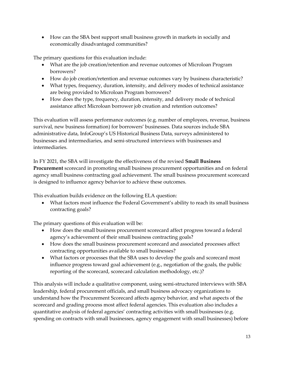• How can the SBA best support small business growth in markets in socially and economically disadvantaged communities?

The primary questions for this evaluation include:

- What are the job creation/retention and revenue outcomes of Microloan Program borrowers?
- How do job creation/retention and revenue outcomes vary by business characteristic?
- What types, frequency, duration, intensity, and delivery modes of technical assistance are being provided to Microloan Program borrowers?
- How does the type, frequency, duration, intensity, and delivery mode of technical assistance affect Microloan borrower job creation and retention outcomes?

This evaluation will assess performance outcomes (e.g. number of employees, revenue, business survival, new business formation) for borrowers' businesses. Data sources include SBA administrative data, InfoGroup's US Historical Business Data, surveys administered to businesses and intermediaries, and semi-structured interviews with businesses and intermediaries.

In FY 2021, the SBA will investigate the effectiveness of the revised **Small Business Procurement** scorecard in promoting small business procurement opportunities and on federal agency small business contracting goal achievement. The small business procurement scorecard is designed to influence agency behavior to achieve these outcomes.

This evaluation builds evidence on the following ELA question:

• What factors most influence the Federal Government's ability to reach its small business contracting goals?

The primary questions of this evaluation will be:

- How does the small business procurement scorecard affect progress toward a federal agency's achievement of their small business contracting goals?
- How does the small business procurement scorecard and associated processes affect contracting opportunities available to small businesses?
- What factors or processes that the SBA uses to develop the goals and scorecard most influence progress toward goal achievement (e.g., negotiation of the goals, the public reporting of the scorecard, scorecard calculation methodology, etc.)?

This analysis will include a qualitative component, using semi-structured interviews with SBA leadership, federal procurement officials, and small business advocacy organizations to understand how the Procurement Scorecard affects agency behavior, and what aspects of the scorecard and grading process most affect federal agencies. This evaluation also includes a quantitative analysis of federal agencies' contracting activities with small businesses (e.g. spending on contracts with small businesses, agency engagement with small businesses) before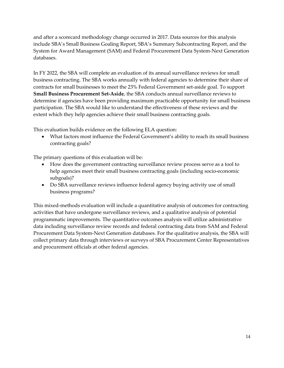and after a scorecard methodology change occurred in 2017. Data sources for this analysis include SBA's Small Business Goaling Report, SBA's Summary Subcontracting Report, and the System for Award Management (SAM) and Federal Procurement Data System-Next Generation databases.

In FY 2022, the SBA will complete an evaluation of its annual surveillance reviews for small business contracting. The SBA works annually with federal agencies to determine their share of contracts for small businesses to meet the 23% Federal Government set-aside goal. To support **Small Business Procurement Set-Aside**, the SBA conducts annual surveillance reviews to determine if agencies have been providing maximum practicable opportunity for small business participation. The SBA would like to understand the effectiveness of these reviews and the extent which they help agencies achieve their small business contracting goals.

This evaluation builds evidence on the following ELA question:

• What factors most influence the Federal Government's ability to reach its small business contracting goals?

The primary questions of this evaluation will be:

- How does the government contracting surveillance review process serve as a tool to help agencies meet their small business contracting goals (including socio-economic subgoals)?
- Do SBA surveillance reviews influence federal agency buying activity use of small business programs?

This mixed-methods evaluation will include a quantitative analysis of outcomes for contracting activities that have undergone surveillance reviews, and a qualitative analysis of potential programmatic improvements. The quantitative outcomes analysis will utilize administrative data including surveillance review records and federal contracting data from SAM and Federal Procurement Data System-Next Generation databases. For the qualitative analysis, the SBA will collect primary data through interviews or surveys of SBA Procurement Center Representatives and procurement officials at other federal agencies.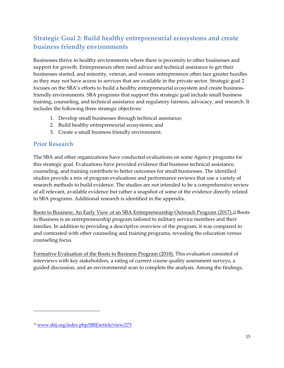# <span id="page-15-0"></span>**Strategic Goal 2: Build healthy entrepreneurial ecosystems and create business friendly environments**

Businesses thrive in healthy environments where there is proximity to other businesses and support for growth. Entrepreneurs often need advice and technical assistance to get their businesses started, and minority, veteran, and women entrepreneurs often face greater hurdles as they may not have access to services that are available in the private sector. Strategic goal 2 focuses on the SBA's efforts to build a healthy entrepreneurial ecosystem and create businessfriendly environments. SBA programs that support this strategic goal include small business training, counseling, and technical assistance and regulatory fairness, advocacy, and research. It includes the following three strategic objectives:

- 1. Develop small businesses through technical assistance;
- 2. Build healthy entrepreneurial ecosystems; and
- 3. Create a small business friendly environment.

#### **Prior Research**

The SBA and other organizations have conducted evaluations on some Agency programs for this strategic goal. Evaluations have provided evidence that business technical assistance, counseling, and training contribute to better outcomes for small businesses. The identified studies provide a mix of program evaluations and performance reviews that use a variety of research methods to build evidence. The studies are not intended to be a comprehensive review of all relevant, available evidence but rather a snapshot of some of the evidence directly related to SBA programs. Additional research is identified in the appendix.

Boots to Business: An Early View of an SBA Entrepreneurship Outreach Program (2017).<sup>[19](#page-15-1)</sup> Boots to Business is an entrepreneurship program tailored to military service members and their families. In addition to providing a descriptive overview of the program, it was compared to and contrasted with other counseling and training programs, revealing the education versus counseling focus.

Formative Evaluation of the Boots to Business Program (2018). This evaluation consisted of interviews with key stakeholders, a rating of current course quality assessment surveys, a guided discussion, and an environmental scan to complete the analysis. Among the findings,

<span id="page-15-1"></span><sup>19</sup> [www.sbij.org/index.php/SBIJ/article/view/273](http://www.sbij.org/index.php/SBIJ/article/view/273)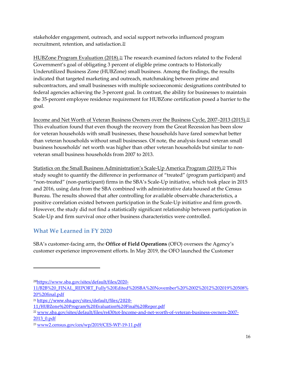stakeholder engagement, outreach, and social support networks influenced program recruitment, retention, and satisfaction.[20](#page-16-0)

HUBZone Program Evaluation (2018).<sup>[21](#page-16-1)</sup> The research examined factors related to the Federal Government's goal of obligating 3 percent of eligible prime contracts to Historically Underutilized Business Zone (HUBZone) small business. Among the findings, the results indicated that targeted marketing and outreach, matchmaking between prime and subcontractors, and small businesses with multiple socioeconomic designations contributed to federal agencies achieving the 3-percent goal. In contrast, the ability for businesses to maintain the 35-percent employee residence requirement for HUBZone certification posed a barrier to the goal.

Income and Net Worth of Veteran Business Owners over the Business Cycle, 2007–2013 (2015).<sup>[22](#page-16-2)</sup> This evaluation found that even though the recovery from the Great Recession has been slow for veteran households with small businesses, these households have fared somewhat better than veteran households without small businesses. Of note, the analysis found veteran small business households' net worth was higher than other veteran households but similar to nonveteran small business households from 2007 to 2013.

Statistics on the Small Business Administration's Scale-Up America Program (2019).[23](#page-16-3) This study sought to quantify the difference in performance of "treated" (program participant) and "non-treated" (non-participant) firms in the SBA's Scale-Up initiative, which took place in 2015 and 2016, using data from the SBA combined with administrative data housed at the Census Bureau. The results showed that after controlling for available observable characteristics, a positive correlation existed between participation in the Scale-Up initiative and firm growth. However, the study did not find a statistically significant relationship between participation in Scale-Up and firm survival once other business characteristics were controlled.

## **What We Learned in FY 2020**

SBA's customer-facing arm, the **Office of Field Operations** (OFO) oversees the Agency's customer experience improvement efforts. In May 2019, the OFO launched the Customer

<span id="page-16-0"></span><sup>20</sup>[https://www.sba.gov/sites/default/files/2020-](https://www.sba.gov/sites/default/files/2020-11/B2B%20_FINAL_REPORT_Fully%20Edited%20SBA%20November%20%2002%2012%202019%20508%20%20final.pdf)

[<sup>11/</sup>B2B%20\\_FINAL\\_REPORT\\_Fully%20Edited%20SBA%20November%20%2002%2012%202019%20508%](https://www.sba.gov/sites/default/files/2020-11/B2B%20_FINAL_REPORT_Fully%20Edited%20SBA%20November%20%2002%2012%202019%20508%20%20final.pdf) [20%20final.pdf](https://www.sba.gov/sites/default/files/2020-11/B2B%20_FINAL_REPORT_Fully%20Edited%20SBA%20November%20%2002%2012%202019%20508%20%20final.pdf)

<span id="page-16-1"></span><sup>21</sup> [https://www.sba.gov/sites/default/files/2020-](https://www.sba.gov/sites/default/files/2020-11/HUBZone%20Program%20Evaluation%20Final%20Repor.pdf)

[<sup>11/</sup>HUBZone%20Program%20Evaluation%20Final%20Repor.pdf](https://www.sba.gov/sites/default/files/2020-11/HUBZone%20Program%20Evaluation%20Final%20Repor.pdf)

<span id="page-16-2"></span><sup>22</sup> [www.sba.gov/sites/default/files/rs430tot-Income-and-net-worth-of-veteran-business-owners-2007-](http://www.sba.gov/sites/default/files/rs430tot-Income-and-net-worth-of-veteran-business-owners-2007-2013_0.pdf) [2013\\_0.pdf](http://www.sba.gov/sites/default/files/rs430tot-Income-and-net-worth-of-veteran-business-owners-2007-2013_0.pdf)

<span id="page-16-3"></span><sup>23</sup> [www2.census.gov/ces/wp/2019/CES-WP-19-11.pdf](https://www2.census.gov/ces/wp/2019/CES-WP-19-11.pdf)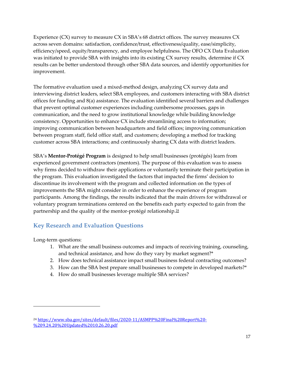Experience (CX) survey to measure CX in SBA's 68 district offices. The survey measures CX across seven domains: satisfaction, confidence/trust, effectiveness/quality, ease/simplicity, efficiency/speed, equity/transparency, and employee helpfulness. The OFO CX Data Evaluation was initiated to provide SBA with insights into its existing CX survey results, determine if CX results can be better understood through other SBA data sources, and identify opportunities for improvement.

The formative evaluation used a mixed-method design, analyzing CX survey data and interviewing district leaders, select SBA employees, and customers interacting with SBA district offices for funding and 8(a) assistance. The evaluation identified several barriers and challenges that prevent optimal customer experiences including cumbersome processes, gaps in communication, and the need to grow institutional knowledge while building knowledge consistency. Opportunities to enhance CX include streamlining access to information; improving communication between headquarters and field offices; improving communication between program staff, field office staff, and customers; developing a method for tracking customer across SBA interactions; and continuously sharing CX data with district leaders.

SBA's **Mentor-Protégé Program** is designed to help small businesses (protégés) learn from experienced government contractors (mentors). The purpose of this evaluation was to assess why firms decided to withdraw their applications or voluntarily terminate their participation in the program. This evaluation investigated the factors that impacted the firms' decision to discontinue its involvement with the program and collected information on the types of improvements the SBA might consider in order to enhance the experience of program participants. Among the findings, the results indicated that the main drivers for withdrawal or voluntary program terminations centered on the benefits each party expected to gain from the partnership and the quality of the mentor-protégé relationship.[24](#page-17-0)

## **Key Research and Evaluation Questions**

Long-term questions:

- 1. What are the small business outcomes and impacts of receiving training, counseling, and technical assistance, and how do they vary by market segment?\*
- 2. How does technical assistance impact small business federal contracting outcomes?
- 3. How can the SBA best prepare small businesses to compete in developed markets?\*
- 4. How do small businesses leverage multiple SBA services?

<span id="page-17-0"></span><sup>24</sup> [https://www.sba.gov/sites/default/files/2020-11/ASMPP%20Final%20Report%20-](https://www.sba.gov/sites/default/files/2020-11/ASMPP%20Final%20Report%20-%209.24.20%20Updated%2010.26.20.pdf) [%209.24.20%20Updated%2010.26.20.pdf](https://www.sba.gov/sites/default/files/2020-11/ASMPP%20Final%20Report%20-%209.24.20%20Updated%2010.26.20.pdf)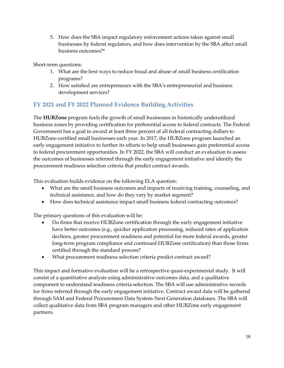5. How does the SBA impact regulatory enforcement actions taken against small businesses by federal regulators, and how does intervention by the SBA affect small business outcomes?\*

Short-term questions:

- 1. What are the best ways to reduce fraud and abuse of small business certification programs?
- 2. How satisfied are entrepreneurs with the SBA's entrepreneurial and business development services?

#### **FY 2021 and FY 2022 Planned Evidence Building Activities**

The **HUBZone** program fuels the growth of small businesses in historically underutilized business zones by providing certification for preferential access to federal contracts. The Federal Government has a goal to award at least three percent of all federal contracting dollars to HUBZone-certified small businesses each year. In 2017, the HUBZone program launched an early engagement initiative to further its efforts to help small businesses gain preferential access to federal procurement opportunities. In FY 2022, the SBA will conduct an evaluation to assess the outcomes of businesses referred through the early engagement initiative and identify the procurement readiness selection criteria that predict contract awards.

This evaluation builds evidence on the following ELA question:

- What are the small business outcomes and impacts of receiving training, counseling, and technical assistance, and how do they vary by market segment?
- How does technical assistance impact small business federal contracting outcomes?

The primary questions of this evaluation will be:

- Do firms that receive HUBZone certification through the early engagement initiative have better outcomes (e.g., quicker application processing, reduced rates of application declines, greater procurement readiness and potential for more federal awards, greater long-term program compliance and continued HUBZone certification) than those firms certified through the standard process?
- What procurement readiness selection criteria predict contract award?

This impact and formative evaluation will be a retrospective quasi-experimental study. It will consist of a quantitative analysis using administrative outcomes data, and a qualitative component to understand readiness criteria selection. The SBA will use administrative records for firms referred through the early engagement initiative. Contract award data will be gathered through SAM and Federal Procurement Data System-Next Generation databases. The SBA will collect qualitative data from SBA program managers and other HUBZone early engagement partners.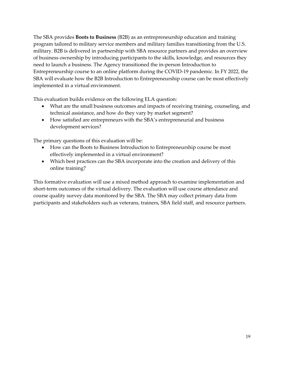The SBA provides **Boots to Business** (B2B) as an entrepreneurship education and training program tailored to military service members and military families transitioning from the U.S. military. B2B is delivered in partnership with SBA resource partners and provides an overview of business ownership by introducing participants to the skills, knowledge, and resources they need to launch a business. The Agency transitioned the in-person Introduction to Entrepreneurship course to an online platform during the COVID-19 pandemic. In FY 2022, the SBA will evaluate how the B2B Introduction to Entrepreneurship course can be most effectively implemented in a virtual environment.

This evaluation builds evidence on the following ELA question:

- What are the small business outcomes and impacts of receiving training, counseling, and technical assistance, and how do they vary by market segment?
- How satisfied are entrepreneurs with the SBA's entrepreneurial and business development services?

The primary questions of this evaluation will be:

- How can the Boots to Business Introduction to Entrepreneurship course be most effectively implemented in a virtual environment?
- Which best practices can the SBA incorporate into the creation and delivery of this online training?

This formative evaluation will use a mixed method approach to examine implementation and short-term outcomes of the virtual delivery. The evaluation will use course attendance and course quality survey data monitored by the SBA. The SBA may collect primary data from participants and stakeholders such as veterans, trainers, SBA field staff, and resource partners.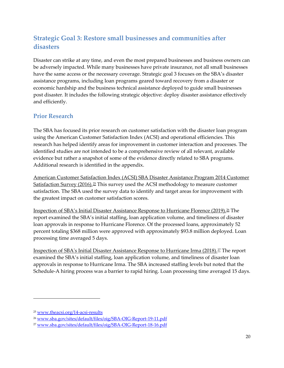# <span id="page-20-0"></span>**Strategic Goal 3: Restore small businesses and communities after disasters**

Disaster can strike at any time, and even the most prepared businesses and business owners can be adversely impacted. While many businesses have private insurance, not all small businesses have the same access or the necessary coverage. Strategic goal 3 focuses on the SBA's disaster assistance programs, including loan programs geared toward recovery from a disaster or economic hardship and the business technical assistance deployed to guide small businesses post disaster. It includes the following strategic objective: deploy disaster assistance effectively and efficiently.

#### **Prior Research**

The SBA has focused its prior research on customer satisfaction with the disaster loan program using the American Customer Satisfaction Index (ACSI) and operational efficiencies. This research has helped identify areas for improvement in customer interaction and processes. The identified studies are not intended to be a comprehensive review of all relevant, available evidence but rather a snapshot of some of the evidence directly related to SBA programs. Additional research is identified in the appendix.

American Customer Satisfaction Index (ACSI) SBA Disaster Assistance Program 2014 Customer Satisfaction Survey (2016).<sup>[25](#page-20-1)</sup> This survey used the ACSI methodology to measure customer satisfaction. The SBA used the survey data to identify and target areas for improvement with the greatest impact on customer satisfaction scores.

Inspection of SBA's Initial Disaster Assistance Response to Hurricane Florence (2019).<sup>[26](#page-20-2)</sup> The report examined the SBA's initial staffing, loan application volume, and timeliness of disaster loan approvals in response to Hurricane Florence. Of the processed loans, approximately 52 percent totaling \$368 million were approved with approximately \$93.8 million deployed. Loan processing time averaged 5 days.

Inspection of SBA's Initial Disaster Assistance Response to Hurricane Irma (2018).[27](#page-20-3) The report examined the SBA's initial staffing, loan application volume, and timeliness of disaster loan approvals in response to Hurricane Irma. The SBA increased staffing levels but noted that the Schedule-A hiring process was a barrier to rapid hiring. Loan processing time averaged 15 days.

<span id="page-20-1"></span><sup>25</sup> [www.theacsi.org/14-acsi-results](http://www.theacsi.org/14-acsi-results)

<span id="page-20-2"></span><sup>26</sup> [www.sba.gov/sites/default/files/oig/SBA-OIG-Report-19-11.pdf](http://www.sba.gov/sites/default/files/oig/SBA-OIG-Report-19-11.pdf)

<span id="page-20-3"></span><sup>27</sup> [www.sba.gov/sites/default/files/oig/SBA-OIG-Report-18-16.pdf](http://www.sba.gov/sites/default/files/oig/SBA-OIG-Report-18-16.pdf)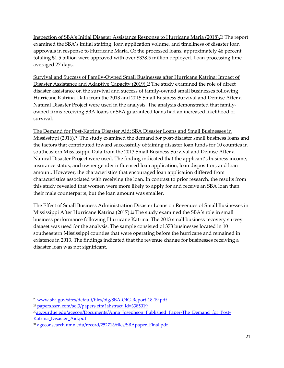Inspection of SBA's Initial Disaster Assistance Response to Hurricane Maria (2018).[28](#page-21-0) The report examined the SBA's initial staffing, loan application volume, and timeliness of disaster loan approvals in response to Hurricane Maria. Of the processed loans, approximately 46 percent totaling \$1.5 billion were approved with over \$338.5 million deployed. Loan processing time averaged 27 days.

Survival and Success of Family-Owned Small Businesses after Hurricane Katrina: Impact of Disaster Assistance and Adaptive Capacity (2019).<sup>[29](#page-21-1)</sup> The study examined the role of direct disaster assistance on the survival and success of family-owned small businesses following Hurricane Katrina. Data from the 2013 and 2015 Small Business Survival and Demise After a Natural Disaster Project were used in the analysis. The analysis demonstrated that familyowned firms receiving SBA loans or SBA guaranteed loans had an increased likelihood of survival.

The Demand for Post-Katrina Disaster Aid: SBA Disaster Loans and Small Businesses in Mississippi (2016).<sup>[30](#page-21-2)</sup> The study examined the demand for post-disaster small business loans and the factors that contributed toward successfully obtaining disaster loan funds for 10 counties in southeastern Mississippi. Data from the 2013 Small Business Survival and Demise After a Natural Disaster Project were used. The finding indicated that the applicant's business income, insurance status, and owner gender influenced loan application, loan disposition, and loan amount. However, the characteristics that encouraged loan application differed from characteristics associated with receiving the loan. In contrast to prior research, the results from this study revealed that women were more likely to apply for and receive an SBA loan than their male counterparts, but the loan amount was smaller.

The Effect of Small Business Administration Disaster Loans on Revenues of Small Businesses in Mississippi After Hurricane Katrina (2017).<sup>31</sup> The study examined the SBA's role in small business performance following Hurricane Katrina. The 2013 small business recovery survey dataset was used for the analysis. The sample consisted of 373 businesses located in 10 southeastern Mississippi counties that were operating before the hurricane and remained in existence in 2013. The findings indicated that the revenue change for businesses receiving a disaster loan was not significant.

<span id="page-21-0"></span><sup>28</sup> [www.sba.gov/sites/default/files/oig/SBA-OIG-Report-18-19.pdf](http://www.sba.gov/sites/default/files/oig/SBA-OIG-Report-18-19.pdf)

<span id="page-21-1"></span><sup>29</sup> [papers.ssrn.com/sol3/papers.cfm?abstract\\_id=3385019](https://papers.ssrn.com/sol3/papers.cfm?abstract_id=3385019)

<span id="page-21-2"></span><sup>&</sup>lt;sup>30</sup>ag.purdue.edu/agecon/Documents/Anna Josephson Published Paper-The Demand for Post-[Katrina\\_Disaster\\_Aid.pdf](https://ag.purdue.edu/agecon/Documents/Anna_Josephson_Published_Paper-The_Demand_for_Post-Katrina_Disaster_Aid.pdf)

<span id="page-21-3"></span><sup>31</sup> [ageconsearch.umn.edu/record/252713/files/SBApaper\\_Final.pdf](https://ageconsearch.umn.edu/record/252713/files/SBApaper_Final.pdf)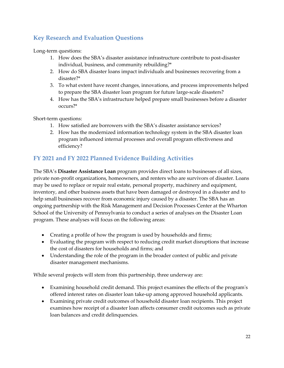## **Key Research and Evaluation Questions**

Long-term questions:

- 1. How does the SBA's disaster assistance infrastructure contribute to post-disaster individual, business, and community rebuilding?\*
- 2. How do SBA disaster loans impact individuals and businesses recovering from a disaster?\*
- 3. To what extent have recent changes, innovations, and process improvements helped to prepare the SBA disaster loan program for future large-scale disasters?
- 4. How has the SBA's infrastructure helped prepare small businesses before a disaster occurs?\*

Short-term questions:

- 1. How satisfied are borrowers with the SBA's disaster assistance services?
- 2. How has the modernized information technology system in the SBA disaster loan program influenced internal processes and overall program effectiveness and efficiency?

#### **FY 2021 and FY 2022 Planned Evidence Building Activities**

The SBA's **Disaster Assistance Loan** program provides direct loans to businesses of all sizes, private non-profit organizations, homeowners, and renters who are survivors of disaster. Loans may be used to replace or repair real estate, personal property, machinery and equipment, inventory, and other business assets that have been damaged or destroyed in a disaster and to help small businesses recover from economic injury caused by a disaster. The SBA has an ongoing partnership with the Risk Management and Decision Processes Center at the Wharton School of the University of Pennsylvania to conduct a series of analyses on the Disaster Loan program. These analyses will focus on the following areas:

- Creating a profile of how the program is used by households and firms;
- Evaluating the program with respect to reducing credit market disruptions that increase the cost of disasters for households and firms; and
- Understanding the role of the program in the broader context of public and private disaster management mechanisms.

While several projects will stem from this partnership, three underway are:

- Examining household credit demand. This project examines the effects of the program's offered interest rates on disaster loan take-up among approved household applicants.
- Examining private credit outcomes of household disaster loan recipients. This project examines how receipt of a disaster loan affects consumer credit outcomes such as private loan balances and credit delinquencies.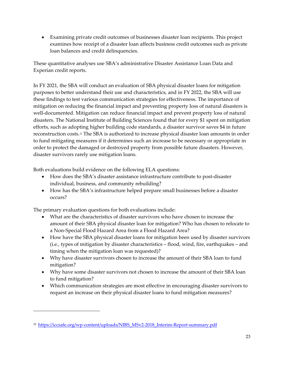• Examining private credit outcomes of businesses disaster loan recipients. This project examines how receipt of a disaster loan affects business credit outcomes such as private loan balances and credit delinquencies.

These quantitative analyses use SBA's administrative Disaster Assistance Loan Data and Experian credit reports.

In FY 2021, the SBA will conduct an evaluation of SBA physical disaster loans for mitigation purposes to better understand their use and characteristics, and in FY 2022, the SBA will use these findings to test various communication strategies for effectiveness. The importance of mitigation on reducing the financial impact and preventing property loss of natural disasters is well-documented. Mitigation can reduce financial impact and prevent property loss of natural disasters. The National Institute of Building Sciences found that for every \$1 spent on mitigation efforts, such as adopting higher building code standards, a disaster survivor saves \$4 in future reconstruction costs.<sup>[32](#page-23-0)</sup> The SBA is authorized to increase physical disaster loan amounts in order to fund mitigating measures if it determines such an increase to be necessary or appropriate in order to protect the damaged or destroyed property from possible future disasters. However, disaster survivors rarely use mitigation loans.

Both evaluations build evidence on the following ELA questions:

- How does the SBA's disaster assistance infrastructure contribute to post-disaster individual, business, and community rebuilding?
- How has the SBA's infrastructure helped prepare small businesses before a disaster occurs?

The primary evaluation questions for both evaluations include:

- What are the characteristics of disaster survivors who have chosen to increase the amount of their SBA physical disaster loan for mitigation? Who has chosen to relocate to a Non-Special Flood Hazard Area from a Flood Hazard Area?
- How have the SBA physical disaster loans for mitigation been used by disaster survivors (i.e., types of mitigation by disaster characteristics – flood, wind, fire, earthquakes – and timing when the mitigation loan was requested)?
- Why have disaster survivors chosen to increase the amount of their SBA loan to fund mitigation?
- Why have some disaster survivors not chosen to increase the amount of their SBA loan to fund mitigation?
- Which communication strategies are most effective in encouraging disaster survivors to request an increase on their physical disaster loans to fund mitigation measures?

<span id="page-23-0"></span><sup>32</sup> [https://iccsafe.org/wp-content/uploads/NIBS\\_MSv2-2018\\_Interim-Report-summary.pdf](https://iccsafe.org/wp-content/uploads/NIBS_MSv2-2018_Interim-Report-summary.pdf)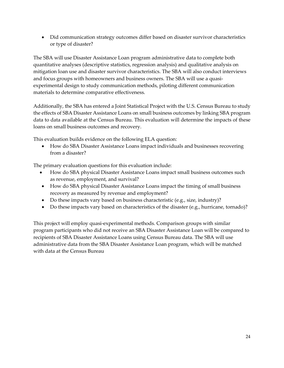• Did communication strategy outcomes differ based on disaster survivor characteristics or type of disaster?

The SBA will use Disaster Assistance Loan program administrative data to complete both quantitative analyses (descriptive statistics, regression analysis) and qualitative analysis on mitigation loan use and disaster survivor characteristics. The SBA will also conduct interviews and focus groups with homeowners and business owners. The SBA will use a quasiexperimental design to study communication methods, piloting different communication materials to determine comparative effectiveness.

Additionally, the SBA has entered a Joint Statistical Project with the U.S. Census Bureau to study the effects of SBA Disaster Assistance Loans on small business outcomes by linking SBA program data to data available at the Census Bureau. This evaluation will determine the impacts of these loans on small business outcomes and recovery.

This evaluation builds evidence on the following ELA question:

• How do SBA Disaster Assistance Loans impact individuals and businesses recovering from a disaster?

The primary evaluation questions for this evaluation include:

- How do SBA physical Disaster Assistance Loans impact small business outcomes such as revenue, employment, and survival?
- How do SBA physical Disaster Assistance Loans impact the timing of small business recovery as measured by revenue and employment?
- Do these impacts vary based on business characteristic (e.g., size, industry)?
- Do these impacts vary based on characteristics of the disaster (e.g., hurricane, tornado)?

This project will employ quasi-experimental methods. Comparison groups with similar program participants who did not receive an SBA Disaster Assistance Loan will be compared to recipients of SBA Disaster Assistance Loans using Census Bureau data. The SBA will use administrative data from the SBA Disaster Assistance Loan program, which will be matched with data at the Census Bureau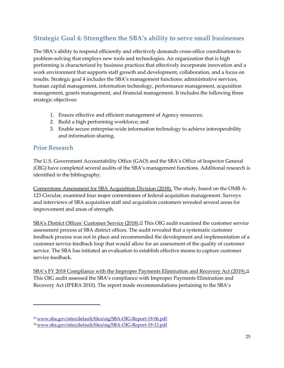# <span id="page-25-0"></span>**Strategic Goal 4: Strengthen the SBA's ability to serve small businesses**

The SBA's ability to respond efficiently and effectively demands cross-office coordination to problem-solving that employs new tools and technologies. An organization that is high performing is characterized by business practices that effectively incorporate innovation and a work environment that supports staff growth and development, collaboration, and a focus on results. Strategic goal 4 includes the SBA's management functions: administrative services, human capital management, information technology, performance management, acquisition management, grants management, and financial management. It includes the following three strategic objectives:

- 1. Ensure effective and efficient management of Agency resources;
- 2. Build a high performing workforce; and
- 3. Enable secure enterprise-wide information technology to achieve interoperability and information sharing.

#### **Prior Research**

The U.S. Government Accountability Office (GAO) and the SBA's Office of Inspector General (OIG) have completed several audits of the SBA's management functions. Additional research is identified in the bibliography.

Cornerstone Assessment for SBA Acquisition Division (2018). The study, based on the OMB A-123 Circular, examined four major cornerstones of federal acquisition management. Surveys and interviews of SBA acquisition staff and acquisition customers revealed several areas for improvement and areas of strength.

SBA's District Offices' Customer Service (2018).<sup>[33](#page-25-1)</sup> This OIG audit examined the customer service assessment process at SBA district offices. The audit revealed that a systematic customer feedback process was not in place and recommended the development and implementation of a customer service feedback loop that would allow for an assessment of the quality of customer service. The SBA has initiated an evaluation to establish effective means to capture customer service feedback.

SBA's FY 2018 Compliance with the Improper Payments Elimination and Recovery Act (2019).<sup>[34](#page-25-2)</sup> This OIG audit assessed the SBA's compliance with Improper Payments Elimination and Recovery Act (IPERA 2010). The report made recommendations pertaining to the SBA's

<span id="page-25-1"></span><sup>33</sup> [www.sba.gov/sites/default/files/oig/SBA-OIG-Report-19-06.pdf](http://www.sba.gov/sites/default/files/oig/SBA-OIG-Report-19-06.pdf)

<span id="page-25-2"></span><sup>34</sup> [www.sba.gov/sites/default/files/oig/SBA-OIG-Report-19-13.pdf](http://www.sba.gov/sites/default/files/oig/SBA-OIG-Report-19-13.pdf)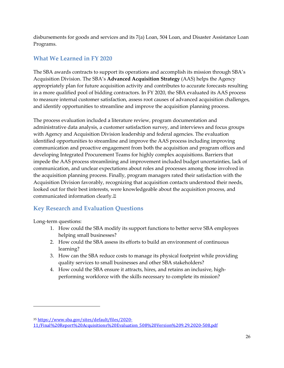disbursements for goods and services and its 7(a) Loan, 504 Loan, and Disaster Assistance Loan Programs.

#### **What We Learned in FY 2020**

The SBA awards contracts to support its operations and accomplish its mission through SBA's Acquisition Division. The SBA's **Advanced Acquisition Strategy** (AAS) helps the Agency appropriately plan for future acquisition activity and contributes to accurate forecasts resulting in a more qualified pool of bidding contractors. In FY 2020, the SBA evaluated its AAS process to measure internal customer satisfaction, assess root causes of advanced acquisition challenges, and identify opportunities to streamline and improve the acquisition planning process.

The process evaluation included a literature review, program documentation and administrative data analysis, a customer satisfaction survey, and interviews and focus groups with Agency and Acquisition Division leadership and federal agencies. The evaluation identified opportunities to streamline and improve the AAS process including improving communication and proactive engagement from both the acquisition and program offices and developing Integrated Procurement Teams for highly complex acquisitions. Barriers that impede the AAS process streamlining and improvement included budget uncertainties, lack of communication, and unclear expectations about roles and processes among those involved in the acquisition planning process. Finally, program managers rated their satisfaction with the Acquisition Division favorably, recognizing that acquisition contacts understood their needs, looked out for their best interests, were knowledgeable about the acquisition process, and communicated information clearly.[35](#page-26-0)

## **Key Research and Evaluation Questions**

Long-term questions:

- 1. How could the SBA modify its support functions to better serve SBA employees helping small businesses?
- 2. How could the SBA assess its efforts to build an environment of continuous learning?
- 3. How can the SBA reduce costs to manage its physical footprint while providing quality services to small businesses and other SBA stakeholders?
- 4. How could the SBA ensure it attracts, hires, and retains an inclusive, highperforming workforce with the skills necessary to complete its mission?

<span id="page-26-0"></span><sup>35</sup> [https://www.sba.gov/sites/default/files/2020-](https://www.sba.gov/sites/default/files/2020-11/Final%20Report%20Acquisitions%20Evaluation_508%20Version%209.29.2020-508.pdf)

[<sup>11/</sup>Final%20Report%20Acquisitions%20Evaluation\\_508%20Version%209.29.2020-508.pdf](https://www.sba.gov/sites/default/files/2020-11/Final%20Report%20Acquisitions%20Evaluation_508%20Version%209.29.2020-508.pdf)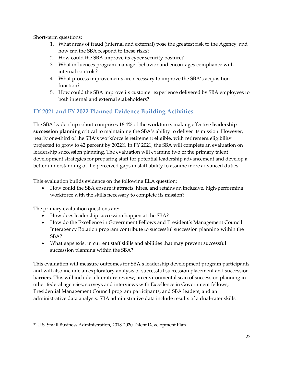Short-term questions:

- 1. What areas of fraud (internal and external) pose the greatest risk to the Agency, and how can the SBA respond to these risks?
- 2. How could the SBA improve its cyber security posture?
- 3. What influences program manager behavior and encourages compliance with internal controls?
- 4. What process improvements are necessary to improve the SBA's acquisition function?
- 5. How could the SBA improve its customer experience delivered by SBA employees to both internal and external stakeholders?

## **FY 2021 and FY 2022 Planned Evidence Building Activities**

The SBA leadership cohort comprises 16.4% of the workforce, making effective **leadership succession planning** critical to maintaining the SBA's ability to deliver its mission. However, nearly one-third of the SBA's workforce is retirement eligible, with retirement eligibility projected to grow to 42 percent by 2022<sup>36</sup>. In FY 2021, the SBA will complete an evaluation on leadership succession planning. The evaluation will examine two of the primary talent development strategies for preparing staff for potential leadership advancement and develop a better understanding of the perceived gaps in staff ability to assume more advanced duties.

This evaluation builds evidence on the following ELA question:

• How could the SBA ensure it attracts, hires, and retains an inclusive, high-performing workforce with the skills necessary to complete its mission?

The primary evaluation questions are:

- How does leadership succession happen at the SBA?
- How do the Excellence in Government Fellows and President's Management Council Interagency Rotation program contribute to successful succession planning within the SBA?
- What gaps exist in current staff skills and abilities that may prevent successful succession planning within the SBA?

This evaluation will measure outcomes for SBA's leadership development program participants and will also include an exploratory analysis of successful succession placement and succession barriers. This will include a literature review; an environmental scan of succession planning in other federal agencies; surveys and interviews with Excellence in Government fellows, Presidential Management Council program participants, and SBA leaders; and an administrative data analysis. SBA administrative data include results of a dual-rater skills

<span id="page-27-0"></span><sup>36</sup> U.S. Small Business Administration, 2018-2020 Talent Development Plan.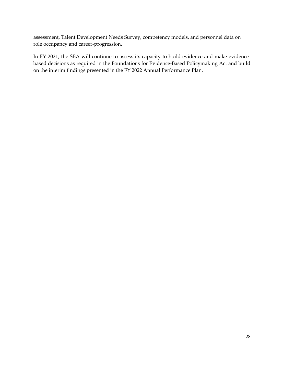assessment, Talent Development Needs Survey, competency models, and personnel data on role occupancy and career-progression.

In FY 2021, the SBA will continue to assess its capacity to build evidence and make evidencebased decisions as required in the Foundations for Evidence-Based Policymaking Act and build on the interim findings presented in the FY 2022 Annual Performance Plan.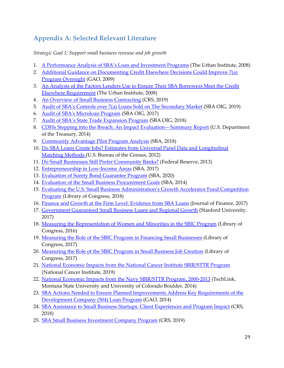# <span id="page-29-0"></span>**Appendix A: Selected Relevant Literature**

*Strategic Goal 1: Support small business revenue and job growth*

- 1. [A Performance Analysis of SBA's Loan and Investment Programs](http://webarchive.urban.org/publications/411597.html) (The Urban Institute, 2008)
- 2. [Additional Guidance on Documenting Credit Elsewhere Decisions Could Improve 7\(a\)](https://www.gao.gov/products/gao-09-228)  [Program Oversight](https://www.gao.gov/products/gao-09-228) (GAO, 2009)
- 3. [An Analysis of the Factors Lenders Use to Ensure Their SBA Borrowers Meet the Credit](https://www.urban.org/sites/default/files/publication/31406/411598-an-analysis-of-the-factors-lenders-use-to-ensure-their-sba-borrowers-meet-the-credit-elsewhere-requirement.pdf)  [Elsewhere Requirement](https://www.urban.org/sites/default/files/publication/31406/411598-an-analysis-of-the-factors-lenders-use-to-ensure-their-sba-borrowers-meet-the-credit-elsewhere-requirement.pdf) (The Urban Institute, 2008)
- 4. [An Overview of Small Business Contracting](https://crsreports.congress.gov/product/pdf/R/R45576) (CRS, 2019)
- 5. [Audit of SBA's Controls over 7\(a\) Loans Sold on The Secondary Market](https://www.sba.gov/sites/default/files/oig/SBA-OIG-Report-19-07.pdf) (SBA OIG, 2019)
- 6. [Audit of SBA's Microloan Program](https://www.sba.gov/sites/default/files/oig/SBA_OIG_Report_17-19.pdf) (SBA OIG, 2017)
- 7. [Audit of SBA's State Trade Expansion Program](https://www.sba.gov/sites/default/files/oig/SBA-OIG-Report-18-11.pdf) (SBA OIG, 2018)
- 8. [CDFIs Stepping into the Breach: An Impact Evaluation—Summary Report](https://www.cdfifund.gov/sites/cdfi/files/documents/cdfis-stepping-into-the-breach-impact-evaluation-report.pdf) (U.S. Department of the Treasury, 2014)
- 9. [Community Advantage Pilot Program Analysis](https://www.sba.gov/sites/default/files/2020-11/Executive_Summary-Community_Advantage_Evaluation_-_June_21_2018_2.pdf) (SBA, 2018)
- 10. [Do SBA Loans Create Jobs? Estimates from Universal Panel Data and Longitudinal](https://www2.census.gov/ces/wp/2012/CES-WP-12-27.pdf)  [Matching Methods \(](https://www2.census.gov/ces/wp/2012/CES-WP-12-27.pdf)U.S. Bureau of the Census, 2012)
- 11. [Do Small Businesses Still Prefer Community Banks?](https://www.federalreserve.gov/pubs/ifdp/2013/1096/ifdp1096.pdf) (Federal Reserve, 2013)
- 12. [Entrepreneurship in Low-Income Areas](https://www.sba.gov/sites/default/files/437-Entrepreneurship-in-Low-income-Areas.pdf) (SBA, 2017)
- 13. [Evaluation of Surety Bond Guarantee Program](https://www.sba.gov/sites/default/files/2020-11/SBA%20SBG%20Fee%20Evaluation_Final%20Report%20%2844f2eca0-121b-4675-ae61-946e30309485%29-508.pdf) (SBA, 2020)
- 14. [Evaluation of the Small Business Procurement Goals](https://www.sba.gov/sites/default/files/files/rs423tot.pdf) (SBA, 2014)
- 15. Evaluating the U.S. Small Business [Administration's Growth Accelerator Fund Competition](https://www.loc.gov/rr/frd/pdf-files/SBA_Accelerators.pdf)  [Program](https://www.loc.gov/rr/frd/pdf-files/SBA_Accelerators.pdf) (Library of Congress, 2018)
- 16. [Finance and Growth at the Firm Level: Evidence from SBA Loans](https://poseidon01.ssrn.com/delivery.php?ID=103001127120086070086072112085074064054034061037083025066004085010002119023066001120098060061014119026053121086067081103084115041004031050048092067006085107121095040060111026026081005106066000020092081114114028125005105123091007022015102123117007&EXT=pdf) (Journal of Finance, 2017)
- 17. [Government Guaranteed Small Business Loans and Regional Growth](https://www.sciencedirect.com/science/article/abs/pii/S0883902617308923) (Stanford University, 2017)
- 18. [Measuring the Representation of Women and Minorities in the SBIC Program](https://www.sba.gov/sites/default/files/aboutsbaarticle/Measuring_the_Representation_of_Women_and_Minorities_in_the_SBIC_Program_2016_10.pdf) (Library of Congress, 2016)
- 19. [Measuring the Role of the SBIC Program in Financing Small Businesses](https://www.sba.gov/article/2019/aug/28/measuring-role-sbic-program-financing-small-businesses) (Library of Congress, 2017)
- 20. [Measuring the Role of the SBIC Program in Small Business Job Creation](https://www.sba.gov/sites/default/files/articles/SBA_SBIC_Jobs_Report.pdf) (Library of Congress, 2017)
- 21. [National Economic Impacts from the National Cancer Institute SBIR/STTR Program](https://sbir.cancer.gov/sites/default/files/documents/NCI_SBIR_ImpactStudy_FullReport_2018.pdf) (National Cancer Institute, 2019)
- 22. [National Economic Impacts from the Navy SBIR/STTR Program, 2000-2013](https://www.sbir.gov/sites/default/files/NAVY%20SBIR-STTR%20National%20Economic%20Impacts%202000%20-%202013.pdf) (TechLink, Montana State University and University of Colorado Boulder, 2014)
- 23. [SBA Actions Needed to Ensure Planned Improvements Address Key Requirements of the](https://www.gao.gov/assets/670/661428.pdf)  [Development Company \(504\) Loan Program](https://www.gao.gov/assets/670/661428.pdf) (GAO, 2014)
- 24. [SBA Assistance to Small Business Startups: Client Experiences and Program Impact](https://www.everycrsreport.com/files/20181227_R43083_914b66e09ccf47d22eacffda97e679bc0be4cb95.pdf) (CRS, 2018)
- 25. [SBA Small Business Investment Company Program](https://fas.org/sgp/crs/misc/R41456.pdf) (CRS, 2019)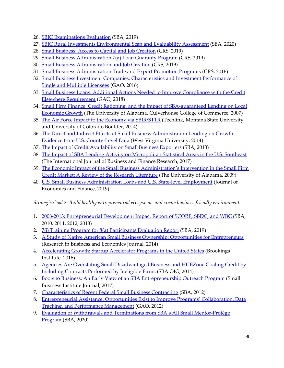- 26. [SBIC Examinations Evaluation](https://www.sba.gov/sites/default/files/2020-11/SBIC%20Process%20Evaluation_Final%20Report_publication.pdf) (SBA, 2019)
- 27. [SBIC Rural Investments Environmental Scan and Evaluability Assessment](https://www.sba.gov/sites/default/files/2020-11/SBIC%20Rural%20Investments.pdf) (SBA, 2020)
- 28. [Small Business: Access to Capital and Job Creation](https://fas.org/sgp/crs/misc/R40985.pdf) (CRS, 2019)
- 29. [Small Business Administration 7\(a\) Loan Guaranty Program](https://fas.org/sgp/crs/misc/R41146.pdf) (CRS, 2019)
- 30. [Small Business Administration and Job Creation](https://fas.org/sgp/crs/misc/R41523.pdf) (CRS, 2019)
- 31. [Small Business Administration Trade and Export Promotion Programs](https://www.everycrsreport.com/files/20161128_R43155_8a2bf425443d04462ee5ace9aa56460f081643c2.pdf) (CRS, 2016)
- 32. Small [Business Investment Companies: Characteristics and Investment Performance of](https://www.gao.gov/assets/680/674813.pdf)  [Single and Multiple Licensees](https://www.gao.gov/assets/680/674813.pdf) (GAO, 2016)
- 33. [Small Business Loans: Additional Actions Needed to Improve Compliance with the Credit](https://www.gao.gov/assets/700/692310.pdf)  [Elsewhere Requirement](https://www.gao.gov/assets/700/692310.pdf) (GAO, 2018)
- 34. [Small Firm Finance, Credit Rationing, and the Impact of SBA-guaranteed Lending on Local](https://doi.org/10.1111/j.1540-627X.2009.00269.x)  [Economic Growth](https://doi.org/10.1111/j.1540-627X.2009.00269.x) (The University of Alabama, Culverhouse College of Commerce, 2007)
- 35. [The Air Force Impact to the Economy via SBIR/STTR](https://www.sbir.gov/sites/default/files/USAF%20SBIR-STTR%20Economic%20Impact%20Study%20FY2015.pdf) (Techlink, Montana State University and University of Colorado Boulder, 2014)
- 36. [The Direct and Indirect Effects of Small Business Administration Lending on Growth:](https://papers.ssrn.com/sol3/papers.cfm?abstract_id=2500825)  [Evidence from U.S. County-Level Data](https://papers.ssrn.com/sol3/papers.cfm?abstract_id=2500825) (West Virginia University, 2014)
- 37. [The Impact of Credit Availability on Small Business Exporters](https://www.sba.gov/sites/default/files/files/rs404tot(3).pdf) (SBA, 2013)
- 38. [The Impact of SBA Lending Activity on Micropolitan Statistical Areas in the U.S. Southeast](https://papers.ssrn.com/sol3/papers.cfm?abstract_id=3043408) (The International Journal of Business and Finance Research, 2017)
- 39. [The Economic Impact of the Small Business Administration's Intervention in the Small Firm](https://doi.org/10.1111/j.1540-627X.2009.00269.x)  [Credit Market: A Review of the Research Literature](https://doi.org/10.1111/j.1540-627X.2009.00269.x) (The University of Alabama, 2009)
- 40. [U.S. Small Business Administration Loans and U.S. State-level Employment](https://link.springer.com/article/10.1007/s12197-019-09495-3) (Journal of Economics and Finance, 2019).

*Strategic Goal 2: Build healthy entrepreneurial ecosystems and create business friendly environments*

- 1. 2008-2013: [Entrepreneurial Development Impact Report of SCORE, SBDC, and WBC](http://www.sba.gov/evaluation) (SBA, 2010, 2011, 2012, 2013)
- 2. [7\(j\) Training Program for 8\(a\) Participants Evaluation Report](https://www.sba.gov/sites/default/files/2020-11/7%28j%29_Evaluation_Report_Final_v2.pdf) (SBA, 2019)
- 3. [A Study of Native American Small Business Ownership: Opportunities for Entrepreneurs](http://www.aabri.com/manuscripts/141961.pdf) (Research in Business and Economics Journal, 2014)
- 4. [Accelerating Growth: Startup Accelerator Programs in the United States](https://www.brookings.edu/research/accelerating-growth-startup-accelerator-programs-in-the-united-states/) (Brookings Institute, 2016)
- 5. [Agencies Are Overstating Small Disadvantaged Business and HUBZone Goaling Credit by](https://www.sba.gov/sites/default/files/oig/Agencies%20Are%20Overstating%20SDB%20and%20HUBZone%20Goaling%20Credit.pdf)  [Including Contracts Performed by Ineligible Firms](https://www.sba.gov/sites/default/files/oig/Agencies%20Are%20Overstating%20SDB%20and%20HUBZone%20Goaling%20Credit.pdf) (SBA OIG, 2014)
- 6. Boots [to Business: An Early View of an SBA Entrepreneurship Outreach Program](https://www.sbij.org/index.php/SBIJ/article/view/273) (Small Business Institute Journal, 2017)
- 7. [Characteristics of Recent Federal Small Business Contracting](https://www.sba.gov/sites/default/files/397tot.pdf) (SBA, 2012)
- 8. [Entrepreneurial Assistance: Opportunities Exist to Improve Programs' Collaboration, Data](https://www.gao.gov/assets/650/647267.pdf)  [Tracking, and Performance Management](https://www.gao.gov/assets/650/647267.pdf) (GAO, 2012)
- 9. [Evaluation of Withdrawals and Terminations from SBA's All Small Mentor-Protégé](https://www.sba.gov/sites/default/files/2020-11/ASMPP%20Final%20Report%20-%209.24.20%20Updated%2010.26.20.pdf)  [Program](https://www.sba.gov/sites/default/files/2020-11/ASMPP%20Final%20Report%20-%209.24.20%20Updated%2010.26.20.pdf) (SBA, 2020)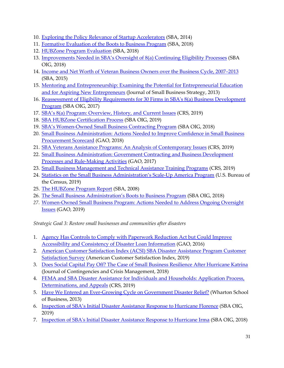- 10. [Exploring the Policy Relevance of Startup Accelerators](https://www.sba.gov/sites/default/files/advocacy/Issue%20Brief%204%20Accelerators%20FINAL.pdf) (SBA, 2014)
- 11. [Formative Evaluation of the Boots to Business Program](https://www.sba.gov/sites/default/files/2020-11/B2B%20_FINAL_REPORT_Fully%20Edited%20SBA%20November%20%2002%2012%202019%20508%20%20final.pdf) (SBA, 2018)
- 12. [HUBZone Program Evaluation](https://www.sba.gov/sites/default/files/2020-11/HUBZone%20Program%20Evaluation%20Final%20Repor.pdf) (SBA, 2018)
- 13. [Improvements Needed in SBA's Oversight of 8\(a\) Continuing Eligibility Processes](https://www.sba.gov/sites/default/files/oig/SBA-OIG-Report_18-22.pdf) (SBA OIG, 2018)
- 14. [Income and Net Worth of Veteran Business Owners over the Business Cycle,](https://www.sba.gov/sites/default/files/rs430tot-Income-and-net-worth-of-veteran-business-owners-2007-2013_0.pdf) 2007–2013 (SBA, 2015)
- 15. [Mentoring and Entrepreneurship: Examining the Potential for Entrepreneurial Education](https://libjournals.mtsu.edu/index.php/jsbs/article/view/171) [and for Aspiring New Entrepreneurs](https://libjournals.mtsu.edu/index.php/jsbs/article/view/171) (Journal of Small Business Strategy, 2013)
- 16. [Reassessment of Eligibility Requirements for 30 Firms in SBA's 8\(a\) Business Development](https://www.sba.gov/sites/default/files/oig/SBA_OIG_Report_17-15.pdf) [Program](https://www.sba.gov/sites/default/files/oig/SBA_OIG_Report_17-15.pdf) (SBA OIG, 2017)
- 17. [SBA's 8\(a\) Program: Overview, History, and Current Issues](https://www.everycrsreport.com/files/20190417_R44844_f6046b92c58360cb9b948db75438052a4b754a99.pdf) (CRS, 2019)
- 18. [SBA HUBZone Certification Process](https://www.sba.gov/sites/default/files/oig/SBA-OIG-Report-19-08.pdf) (SBA OIG, 2019)
- 19. [SBA's Women-Owned Small Business Contracting Program](https://www.sba.gov/sites/default/files/oig/SBA-OIG-Report-18-18.pdf) (SBA OIG, 2018)
- 20. [Small Business Administration: Actions Needed to Improve Confidence in Small Business](https://www.gao.gov/assets/700/694777.pdf) [Procurement Scorecard](https://www.gao.gov/assets/700/694777.pdf) (GAO, 2018)
- 21. [SBA Veterans Assistance Programs: An Analysis of Contemporary Issues](https://fas.org/sgp/crs/misc/R42695.pdf) (CRS, 2019)
- 22. [Small Business Administration: Government Contracting and Business Development](https://www.gao.gov/assets/690/685569.pdf) [Processes and Rule-Making Activities](https://www.gao.gov/assets/690/685569.pdf) (GAO, 2017)
- 23. [Small Business Management and Technical Assistance Training Programs](https://www.everycrsreport.com/files/20190404_R41352_f223a43b878bf3179006b606aae23dd78693b28c.pdf) (CRS, 2019)
- 24. [Statistics on the Small Business Administration's Scale-Up America Program](https://www2.census.gov/ces/wp/2019/CES-WP-19-11.pdf) (U.S. Bureau of the Census, 2019)
- 25. [The HUBZone Program Report](http://www.sba.gov/sites/default/files/rs325tot.pdf) (SBA, 2008)
- 26. [The Small Business Administration's Boots to Business Program](https://www.sba.gov/sites/default/files/oig/SBA-OIG-Report-18-20.pdf) (SBA OIG, 2018)
- *27.* [Women-Owned Small Business Program: Actions Needed to Address Ongoing Oversight](https://www.gao.gov/assets/700/697580.pdf) **[Issues](https://www.gao.gov/assets/700/697580.pdf)** (GAO, 2019)

*Strategic Goal 3: Restore small businesses and communities after disasters*

- 1. [Agency Has Controls to Comply with Paperwork Reduction Act but Could Improve](https://www.gao.gov/assets/690/681181.pdf) [Accessibility and Consistency of Disaster Loan Information](https://www.gao.gov/assets/690/681181.pdf) (GAO, 2016)
- 2. [American Customer Satisfaction Index \(ACSI\) SBA Disaster Assistance Program Customer](https://www.theacsi.org/14-acsi-results) [Satisfaction Survey](https://www.theacsi.org/14-acsi-results) (American Customer Satisfaction Index, 2019)
- 3. [Does Social Capital Pay Off? The Case of Small Business Resilience After Hurricane Katrina](https://onlinelibrary.wiley.com/doi/abs/10.1111/1468-5973.12248) (Journal of Contingencies and Crisis Management, 2018)
- 4. [FEMA and SBA Disaster Assistance for Individuals and Households: Application Process,](https://fas.org/sgp/crs/homesec/R45238.pdf) [Determinations, and Appeals](https://fas.org/sgp/crs/homesec/R45238.pdf) (CRS, 2019)
- 5. [Have We Entered an Ever-Growing Cycle](https://citeseerx.ist.psu.edu/viewdoc/download?doi=10.1.1.420.3143&rep=rep1&type=pdf) on Government Disaster Relief? (Wharton School of Business, 2013)
- 6. [Inspection of SBA's Initial Disaster Assistance Response to Hurricane Florence](https://www.sba.gov/sites/default/files/oig/SBA-OIG-Report-19-11.pdf) (SBA OIG, 2019)
- 7. [Inspection of SBA's Initial Disaster Assistance Response to Hurricane Irma](https://www.sba.gov/sites/default/files/oig/SBA-OIG-Report-18-16.pdf) (SBA OIG, 2018)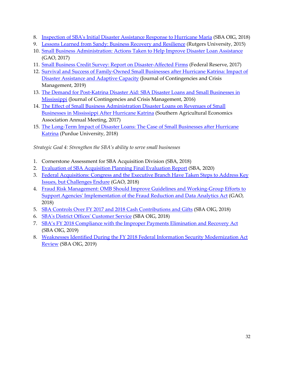- 8. [Inspection of SBA's Initial Disaster Assistance Response to Hurricane Maria](https://www.sba.gov/sites/default/files/oig/SBA-OIG-Report-18-19.pdf) (SBA OIG, 2018)
- 9. [Lessons Learned from Sandy: Business Recovery and Resilience](https://papers.ssrn.com/sol3/papers.cfm?abstract_id=2739228) (Rutgers University, 2015)
- 10. [Small Business Administration: Actions Taken to Help Improve Disaster Loan Assistance](https://www.gao.gov/assets/690/684293.pdf) (GAO, 2017)
- 11. [Small Business Credit Survey: Report on Disaster-Affected Firms](https://www.newyorkfed.org/medialibrary/media/smallbusiness/2017/SBCS-Report-on-Disaster-Affected-Firms.pdf) (Federal Reserve, 2017)
- 12. [Survival and Success of Family-Owned Small Businesses after Hurricane Katrina: Impact of](https://papers.ssrn.com/sol3/papers.cfm?abstract_id=3385019)  [Disaster Assistance and Adaptive Capacity](https://papers.ssrn.com/sol3/papers.cfm?abstract_id=3385019) (Journal of Contingencies and Crisis Management, 2019)
- 13. [The Demand for Post-Katrina Disaster Aid: SBA Disaster Loans and Small Businesses in](https://ag.purdue.edu/agecon/Documents/Anna_Josephson_Published_Paper-The_Demand_for_Post-Katrina_Disaster_Aid.pdf)  [Mississippi](https://ag.purdue.edu/agecon/Documents/Anna_Josephson_Published_Paper-The_Demand_for_Post-Katrina_Disaster_Aid.pdf) (Journal of Contingencies and Crisis Management, 2016)
- 14. [The Effect of Small Business Administration Disaster Loans on Revenues of Small](https://ageconsearch.umn.edu/record/252713/files/SBApaper_Final.pdf)  [Businesses in Mississippi After Hurricane Katrina](https://ageconsearch.umn.edu/record/252713/files/SBApaper_Final.pdf) (Southern Agricultural Economics Association Annual Meeting, 2017)
- 15. [The Long-Term Impact of Disaster Loans: The Case of Small Businesses after Hurricane](https://www.google.com/url?sa=t&rct=j&q=&esrc=s&source=web&cd=7&ved=2ahUKEwjrypzvlIrjAhVFTd8KHaPiAYEQFjAGegQIARAC&url=https%3A%2F%2Fwww.mdpi.com%2F2071-1050%2F10%2F7%2F2364%2Fpdf&usg=AOvVaw2V7eTfEY6TK-zevdJhsR6g)  [Katrina](https://www.google.com/url?sa=t&rct=j&q=&esrc=s&source=web&cd=7&ved=2ahUKEwjrypzvlIrjAhVFTd8KHaPiAYEQFjAGegQIARAC&url=https%3A%2F%2Fwww.mdpi.com%2F2071-1050%2F10%2F7%2F2364%2Fpdf&usg=AOvVaw2V7eTfEY6TK-zevdJhsR6g) (Purdue University, 2018)

*Strategic Goal 4: Strengthen the SBA's ability to serve small businesses*

- 1. Cornerstone Assessment for SBA Acquisition Division (SBA, 2018)
- 2. [Evaluation of SBA Acquisition Planning Final Evaluation Report](https://www.sba.gov/sites/default/files/2020-11/Final%20Report%20Acquisitions%20Evaluation_508%20Version%209.29.2020-508.pdf) (SBA, 2020)
- 3. [Federal Acquisitions: Congress and the Executive Branch Have Taken Steps to Address Key](https://www.gao.gov/assets/700/694457.pdf)  [Issues, but Challenges Endure](https://www.gao.gov/assets/700/694457.pdf) (GAO, 2018)
- 4. [Fraud Risk Management: OMB Should Improve Guidelines and Working-Group Efforts to](https://www.gao.gov/products/GAO-19-34)  [Support Agencies' Implementation of the Fraud Reduction and Data Analytics Act](https://www.gao.gov/products/GAO-19-34) (GAO, 2018)
- 5. [SBA Controls Over FY 2017 and 2018 Cash Contributions and Gifts](https://www.sba.gov/sites/default/files/oig/SBA-OIG-Report-18-25.pdf) (SBA OIG, 2018)
- 6. [SBA's District Offices' Customer Service](https://www.sba.gov/sites/default/files/oig/SBA-OIG-Report-19-06.pdf) (SBA OIG, 2018)
- 7. SBA's FY [2018 Compliance with the Improper Payments Elimination and Recovery Act](https://www.sba.gov/sites/default/files/oig/SBA-OIG-Report-19-13.pdf) (SBA OIG, 2019)
- 8. [Weaknesses Identified During the FY 2018 Federal Information Security Modernization Act](https://www.sba.gov/sites/default/files/oig/SBA-OIG-Report-19-09.pdf)  [Review](https://www.sba.gov/sites/default/files/oig/SBA-OIG-Report-19-09.pdf) (SBA OIG, 2019)